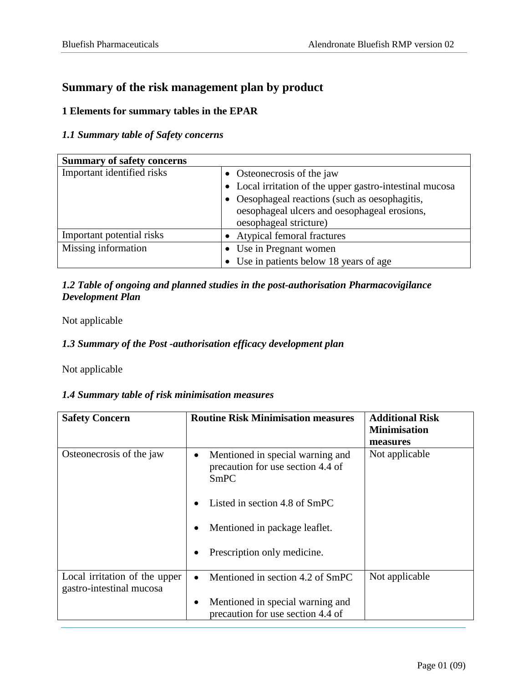# **Summary of the risk management plan by product**

## **1 Elements for summary tables in the EPAR**

### *1.1 Summary table of Safety concerns*

| <b>Summary of safety concerns</b> |                                                          |
|-----------------------------------|----------------------------------------------------------|
| Important identified risks        | • Osteonecrosis of the jaw                               |
|                                   | • Local irritation of the upper gastro-intestinal mucosa |
|                                   | Oesophageal reactions (such as oesophagitis,             |
|                                   | oesophageal ulcers and oesophageal erosions,             |
|                                   | oesophageal stricture)                                   |
| Important potential risks         | • Atypical femoral fractures                             |
| Missing information               | • Use in Pregnant women                                  |
|                                   | Use in patients below 18 years of age                    |

## *1.2 Table of ongoing and planned studies in the post-authorisation Pharmacovigilance Development Plan*

Not applicable

## *1.3 Summary of the Post -authorisation efficacy development plan*

Not applicable

## *1.4 Summary table of risk minimisation measures*

| <b>Safety Concern</b>                                     | <b>Routine Risk Minimisation measures</b>                                     | <b>Additional Risk</b><br><b>Minimisation</b><br>measures |
|-----------------------------------------------------------|-------------------------------------------------------------------------------|-----------------------------------------------------------|
| Osteonecrosis of the jaw                                  | Mentioned in special warning and<br>precaution for use section 4.4 of<br>SmPC | Not applicable                                            |
|                                                           | Listed in section 4.8 of SmPC                                                 |                                                           |
|                                                           | Mentioned in package leaflet.                                                 |                                                           |
|                                                           | Prescription only medicine.                                                   |                                                           |
| Local irritation of the upper<br>gastro-intestinal mucosa | Mentioned in section 4.2 of SmPC<br>$\bullet$                                 | Not applicable                                            |
|                                                           | Mentioned in special warning and<br>precaution for use section 4.4 of         |                                                           |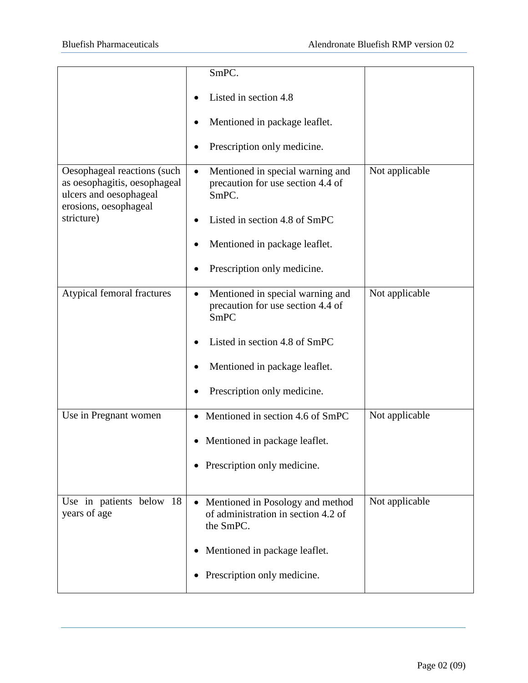|                                                                                                                | SmPC.                                                                                       |                |
|----------------------------------------------------------------------------------------------------------------|---------------------------------------------------------------------------------------------|----------------|
|                                                                                                                | Listed in section 4.8                                                                       |                |
|                                                                                                                | Mentioned in package leaflet.                                                               |                |
|                                                                                                                | Prescription only medicine.                                                                 |                |
| Oesophageal reactions (such<br>as oesophagitis, oesophageal<br>ulcers and oesophageal<br>erosions, oesophageal | Mentioned in special warning and<br>$\bullet$<br>precaution for use section 4.4 of<br>SmPC. | Not applicable |
| stricture)                                                                                                     | Listed in section 4.8 of SmPC                                                               |                |
|                                                                                                                | Mentioned in package leaflet.                                                               |                |
|                                                                                                                | Prescription only medicine.                                                                 |                |
| Atypical femoral fractures                                                                                     | Mentioned in special warning and<br>٠<br>precaution for use section 4.4 of<br><b>SmPC</b>   | Not applicable |
|                                                                                                                | Listed in section 4.8 of SmPC                                                               |                |
|                                                                                                                | Mentioned in package leaflet.                                                               |                |
|                                                                                                                | Prescription only medicine.                                                                 |                |
| Use in Pregnant women                                                                                          | Mentioned in section 4.6 of SmPC                                                            | Not applicable |
|                                                                                                                | Mentioned in package leaflet.                                                               |                |
|                                                                                                                | • Prescription only medicine.                                                               |                |
| Use in patients below 18<br>years of age                                                                       | • Mentioned in Posology and method<br>of administration in section 4.2 of<br>the SmPC.      | Not applicable |
|                                                                                                                | Mentioned in package leaflet.                                                               |                |
|                                                                                                                | Prescription only medicine.                                                                 |                |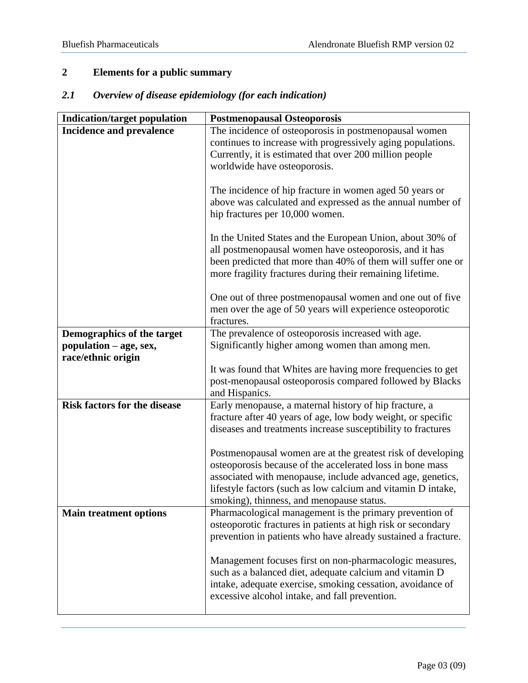# **2 Elements for a public summary**

| 2.1 |  |  | Overview of disease epidemiology (for each indication) |
|-----|--|--|--------------------------------------------------------|
|     |  |  |                                                        |

| <b>Indication/target population</b>                                        | <b>Postmenopausal Osteoporosis</b>                                                                                                                                                                                                                                                                  |
|----------------------------------------------------------------------------|-----------------------------------------------------------------------------------------------------------------------------------------------------------------------------------------------------------------------------------------------------------------------------------------------------|
| <b>Incidence and prevalence</b>                                            | The incidence of osteoporosis in postmenopausal women<br>continues to increase with progressively aging populations.<br>Currently, it is estimated that over 200 million people<br>worldwide have osteoporosis.                                                                                     |
|                                                                            | The incidence of hip fracture in women aged 50 years or<br>above was calculated and expressed as the annual number of<br>hip fractures per 10,000 women.                                                                                                                                            |
|                                                                            | In the United States and the European Union, about 30% of<br>all postmenopausal women have osteoporosis, and it has<br>been predicted that more than 40% of them will suffer one or<br>more fragility fractures during their remaining lifetime.                                                    |
|                                                                            | One out of three postmenopausal women and one out of five<br>men over the age of 50 years will experience osteoporotic<br>fractures.                                                                                                                                                                |
| Demographics of the target<br>population – age, sex,<br>race/ethnic origin | The prevalence of osteoporosis increased with age.<br>Significantly higher among women than among men.                                                                                                                                                                                              |
|                                                                            | It was found that Whites are having more frequencies to get<br>post-menopausal osteoporosis compared followed by Blacks<br>and Hispanics.                                                                                                                                                           |
| <b>Risk factors for the disease</b>                                        | Early menopause, a maternal history of hip fracture, a<br>fracture after 40 years of age, low body weight, or specific<br>diseases and treatments increase susceptibility to fractures                                                                                                              |
|                                                                            | Postmenopausal women are at the greatest risk of developing<br>osteoporosis because of the accelerated loss in bone mass<br>associated with menopause, include advanced age, genetics,<br>lifestyle factors (such as low calcium and vitamin D intake,<br>smoking), thinness, and menopause status. |
| <b>Main treatment options</b>                                              | Pharmacological management is the primary prevention of<br>osteoporotic fractures in patients at high risk or secondary<br>prevention in patients who have already sustained a fracture.                                                                                                            |
|                                                                            | Management focuses first on non-pharmacologic measures,<br>such as a balanced diet, adequate calcium and vitamin D<br>intake, adequate exercise, smoking cessation, avoidance of<br>excessive alcohol intake, and fall prevention.                                                                  |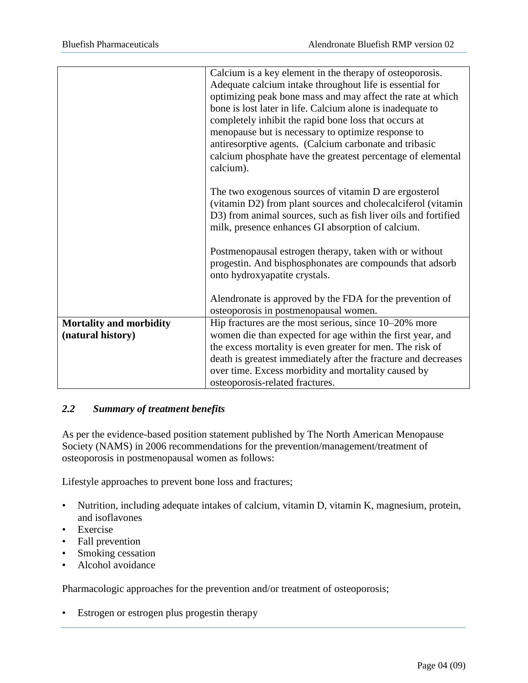|                                | Calcium is a key element in the therapy of osteoporosis.       |  |  |
|--------------------------------|----------------------------------------------------------------|--|--|
|                                | Adequate calcium intake throughout life is essential for       |  |  |
|                                | optimizing peak bone mass and may affect the rate at which     |  |  |
|                                | bone is lost later in life. Calcium alone is inadequate to     |  |  |
|                                | completely inhibit the rapid bone loss that occurs at          |  |  |
|                                | menopause but is necessary to optimize response to             |  |  |
|                                | antiresorptive agents. (Calcium carbonate and tribasic         |  |  |
|                                | calcium phosphate have the greatest percentage of elemental    |  |  |
|                                | calcium).                                                      |  |  |
|                                |                                                                |  |  |
|                                | The two exogenous sources of vitamin D are ergosterol          |  |  |
|                                | (vitamin D2) from plant sources and cholecalciferol (vitamin   |  |  |
|                                | D3) from animal sources, such as fish liver oils and fortified |  |  |
|                                | milk, presence enhances GI absorption of calcium.              |  |  |
|                                |                                                                |  |  |
|                                | Postmenopausal estrogen therapy, taken with or without         |  |  |
|                                | progestin. And bisphosphonates are compounds that adsorb       |  |  |
|                                | onto hydroxyapatite crystals.                                  |  |  |
|                                |                                                                |  |  |
|                                | Alendronate is approved by the FDA for the prevention of       |  |  |
|                                | osteoporosis in postmenopausal women.                          |  |  |
| <b>Mortality and morbidity</b> | Hip fractures are the most serious, since 10–20% more          |  |  |
| (natural history)              | women die than expected for age within the first year, and     |  |  |
|                                | the excess mortality is even greater for men. The risk of      |  |  |
|                                | death is greatest immediately after the fracture and decreases |  |  |
|                                | over time. Excess morbidity and mortality caused by            |  |  |
|                                | osteoporosis-related fractures.                                |  |  |

## *2.2 Summary of treatment benefits*

As per the evidence-based position statement published by The North American Menopause Society (NAMS) in 2006 recommendations for the prevention/management/treatment of osteoporosis in postmenopausal women as follows:

Lifestyle approaches to prevent bone loss and fractures;

- Nutrition, including adequate intakes of calcium, vitamin D, vitamin K, magnesium, protein, and isoflavones
- Exercise
- Fall prevention
- Smoking cessation
- Alcohol avoidance

Pharmacologic approaches for the prevention and/or treatment of osteoporosis;

• Estrogen or estrogen plus progestin therapy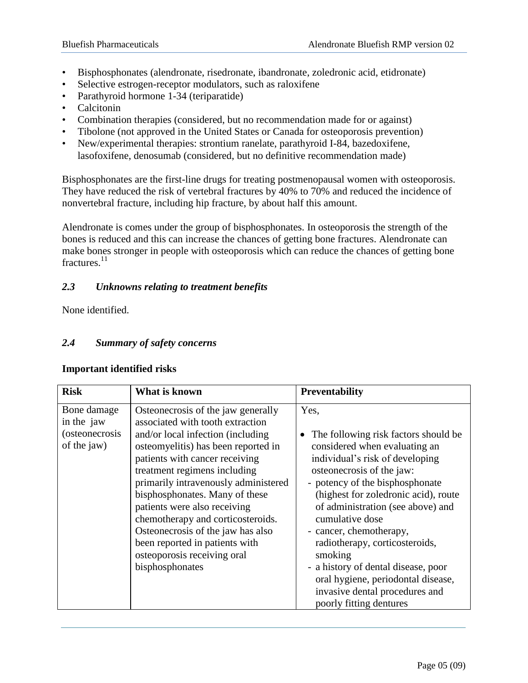- Bisphosphonates (alendronate, risedronate, ibandronate, zoledronic acid, etidronate)
- Selective estrogen-receptor modulators, such as raloxifene
- Parathyroid hormone 1-34 (teriparatide)
- Calcitonin
- Combination therapies (considered, but no recommendation made for or against)
- Tibolone (not approved in the United States or Canada for osteoporosis prevention)
- New/experimental therapies: strontium ranelate, parathyroid I-84, bazedoxifene, lasofoxifene, denosumab (considered, but no definitive recommendation made)

Bisphosphonates are the first-line drugs for treating postmenopausal women with osteoporosis. They have reduced the risk of vertebral fractures by 40% to 70% and reduced the incidence of nonvertebral fracture, including hip fracture, by about half this amount.

Alendronate is comes under the group of bisphosphonates. In osteoporosis the strength of the bones is reduced and this can increase the chances of getting bone fractures. Alendronate can make bones stronger in people with osteoporosis which can reduce the chances of getting bone fractures.<sup>11</sup>

## *2.3 Unknowns relating to treatment benefits*

None identified.

## *2.4 Summary of safety concerns*

| <b>Risk</b>                                                       | What is known                                                                                                                                                                                                                                                                                                                                                                                                                                                                                | <b>Preventability</b>                                                                                                                                                                                                                                                                                                                                                                                                                                                                                           |
|-------------------------------------------------------------------|----------------------------------------------------------------------------------------------------------------------------------------------------------------------------------------------------------------------------------------------------------------------------------------------------------------------------------------------------------------------------------------------------------------------------------------------------------------------------------------------|-----------------------------------------------------------------------------------------------------------------------------------------------------------------------------------------------------------------------------------------------------------------------------------------------------------------------------------------------------------------------------------------------------------------------------------------------------------------------------------------------------------------|
| Bone damage<br>in the jaw<br><i>(osteonecrosis</i><br>of the jaw) | Osteonecrosis of the jaw generally<br>associated with tooth extraction<br>and/or local infection (including<br>osteomyelitis) has been reported in<br>patients with cancer receiving<br>treatment regimens including<br>primarily intravenously administered<br>bisphosphonates. Many of these<br>patients were also receiving<br>chemotherapy and corticosteroids.<br>Osteonecrosis of the jaw has also<br>been reported in patients with<br>osteoporosis receiving oral<br>bisphosphonates | Yes,<br>The following risk factors should be<br>$\bullet$<br>considered when evaluating an<br>individual's risk of developing<br>osteonecrosis of the jaw:<br>- potency of the bisphosphonate<br>(highest for zoledronic acid), route<br>of administration (see above) and<br>cumulative dose<br>- cancer, chemotherapy,<br>radiotherapy, corticosteroids,<br>smoking<br>- a history of dental disease, poor<br>oral hygiene, periodontal disease,<br>invasive dental procedures and<br>poorly fitting dentures |

#### **Important identified risks**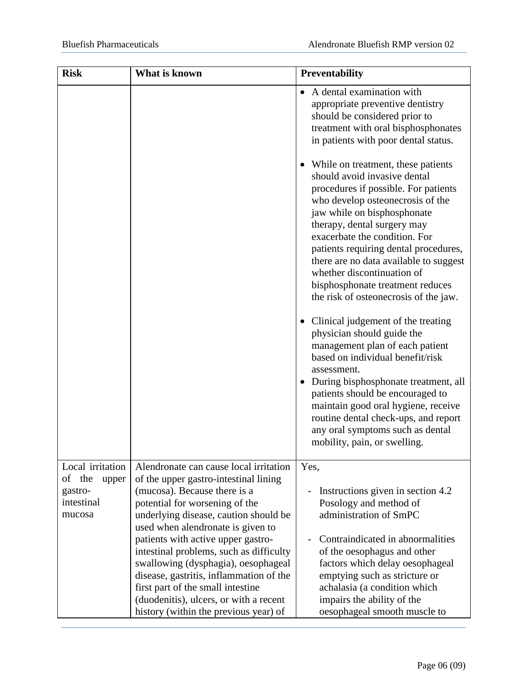| <b>Risk</b>                                                               | What is known                                                                                                                                                                                                                                                                                                                | Preventability                                                                                                                                                                                                                                                                                                                                                                                                                                                                                                                                                                                                                                                                                                                                                                                                                                                 |
|---------------------------------------------------------------------------|------------------------------------------------------------------------------------------------------------------------------------------------------------------------------------------------------------------------------------------------------------------------------------------------------------------------------|----------------------------------------------------------------------------------------------------------------------------------------------------------------------------------------------------------------------------------------------------------------------------------------------------------------------------------------------------------------------------------------------------------------------------------------------------------------------------------------------------------------------------------------------------------------------------------------------------------------------------------------------------------------------------------------------------------------------------------------------------------------------------------------------------------------------------------------------------------------|
|                                                                           |                                                                                                                                                                                                                                                                                                                              | A dental examination with<br>appropriate preventive dentistry<br>should be considered prior to<br>treatment with oral bisphosphonates<br>in patients with poor dental status.                                                                                                                                                                                                                                                                                                                                                                                                                                                                                                                                                                                                                                                                                  |
|                                                                           |                                                                                                                                                                                                                                                                                                                              | While on treatment, these patients<br>should avoid invasive dental<br>procedures if possible. For patients<br>who develop osteonecrosis of the<br>jaw while on bisphosphonate<br>therapy, dental surgery may<br>exacerbate the condition. For<br>patients requiring dental procedures,<br>there are no data available to suggest<br>whether discontinuation of<br>bisphosphonate treatment reduces<br>the risk of osteonecrosis of the jaw.<br>Clinical judgement of the treating<br>$\bullet$<br>physician should guide the<br>management plan of each patient<br>based on individual benefit/risk<br>assessment.<br>During bisphosphonate treatment, all<br>$\bullet$<br>patients should be encouraged to<br>maintain good oral hygiene, receive<br>routine dental check-ups, and report<br>any oral symptoms such as dental<br>mobility, pain, or swelling. |
| Local irritation<br>the<br>οf<br>upper<br>gastro-<br>intestinal<br>mucosa | Alendronate can cause local irritation<br>of the upper gastro-intestinal lining<br>(mucosa). Because there is a<br>potential for worsening of the<br>underlying disease, caution should be                                                                                                                                   | Yes,<br>Instructions given in section 4.2<br>$\overline{a}$<br>Posology and method of<br>administration of SmPC                                                                                                                                                                                                                                                                                                                                                                                                                                                                                                                                                                                                                                                                                                                                                |
|                                                                           | used when alendronate is given to<br>patients with active upper gastro-<br>intestinal problems, such as difficulty<br>swallowing (dysphagia), oesophageal<br>disease, gastritis, inflammation of the<br>first part of the small intestine<br>(duodenitis), ulcers, or with a recent<br>history (within the previous year) of | Contraindicated in abnormalities<br>of the oesophagus and other<br>factors which delay oesophageal<br>emptying such as stricture or<br>achalasia (a condition which<br>impairs the ability of the<br>oesophageal smooth muscle to                                                                                                                                                                                                                                                                                                                                                                                                                                                                                                                                                                                                                              |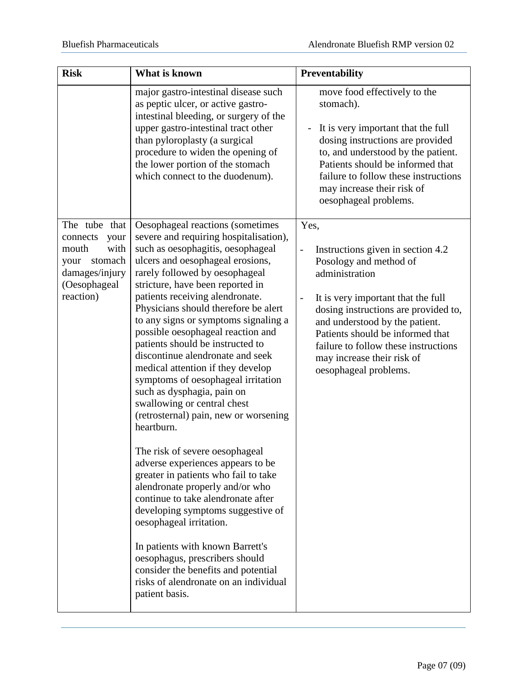| <b>Risk</b>                                                                                                          | What is known                                                                                                                                                                                                                                                                                                                                                                                                                                                                                                                                                                                                                                                                                                                                                                                                                                                                                                                                                                                                                                                                            | Preventability                                                                                                                                                                                                                                                                                                                                                                         |
|----------------------------------------------------------------------------------------------------------------------|------------------------------------------------------------------------------------------------------------------------------------------------------------------------------------------------------------------------------------------------------------------------------------------------------------------------------------------------------------------------------------------------------------------------------------------------------------------------------------------------------------------------------------------------------------------------------------------------------------------------------------------------------------------------------------------------------------------------------------------------------------------------------------------------------------------------------------------------------------------------------------------------------------------------------------------------------------------------------------------------------------------------------------------------------------------------------------------|----------------------------------------------------------------------------------------------------------------------------------------------------------------------------------------------------------------------------------------------------------------------------------------------------------------------------------------------------------------------------------------|
|                                                                                                                      | major gastro-intestinal disease such<br>as peptic ulcer, or active gastro-<br>intestinal bleeding, or surgery of the<br>upper gastro-intestinal tract other<br>than pyloroplasty (a surgical<br>procedure to widen the opening of<br>the lower portion of the stomach<br>which connect to the duodenum).                                                                                                                                                                                                                                                                                                                                                                                                                                                                                                                                                                                                                                                                                                                                                                                 | move food effectively to the<br>stomach).<br>It is very important that the full<br>dosing instructions are provided<br>to, and understood by the patient.<br>Patients should be informed that<br>failure to follow these instructions<br>may increase their risk of<br>oesophageal problems.                                                                                           |
| The tube that<br>connects<br>your<br>with<br>mouth<br>stomach<br>your<br>damages/injury<br>(Oesophageal<br>reaction) | Oesophageal reactions (sometimes<br>severe and requiring hospitalisation),<br>such as oesophagitis, oesophageal<br>ulcers and oesophageal erosions,<br>rarely followed by oesophageal<br>stricture, have been reported in<br>patients receiving alendronate.<br>Physicians should therefore be alert<br>to any signs or symptoms signaling a<br>possible oesophageal reaction and<br>patients should be instructed to<br>discontinue alendronate and seek<br>medical attention if they develop<br>symptoms of oesophageal irritation<br>such as dysphagia, pain on<br>swallowing or central chest<br>(retrosternal) pain, new or worsening<br>heartburn.<br>The risk of severe oesophageal<br>adverse experiences appears to be<br>greater in patients who fail to take<br>alendronate properly and/or who<br>continue to take alendronate after<br>developing symptoms suggestive of<br>oesophageal irritation.<br>In patients with known Barrett's<br>oesophagus, prescribers should<br>consider the benefits and potential<br>risks of alendronate on an individual<br>patient basis. | Yes,<br>Instructions given in section 4.2<br>$\overline{\phantom{0}}$<br>Posology and method of<br>administration<br>It is very important that the full<br>$\overline{a}$<br>dosing instructions are provided to,<br>and understood by the patient.<br>Patients should be informed that<br>failure to follow these instructions<br>may increase their risk of<br>oesophageal problems. |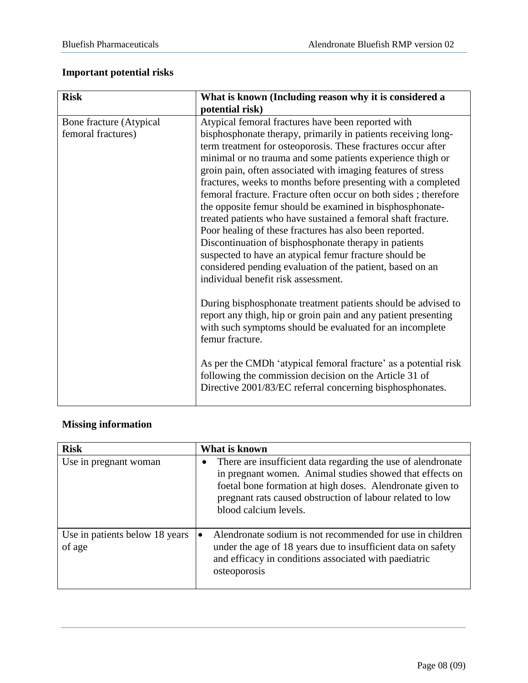# **Important potential risks**

| <b>Risk</b>                                   | What is known (Including reason why it is considered a                                                                                                                                                                                                                                                                                                                                                                                                                                                                                                                                                                                                                                                                                                                                                                                                               |
|-----------------------------------------------|----------------------------------------------------------------------------------------------------------------------------------------------------------------------------------------------------------------------------------------------------------------------------------------------------------------------------------------------------------------------------------------------------------------------------------------------------------------------------------------------------------------------------------------------------------------------------------------------------------------------------------------------------------------------------------------------------------------------------------------------------------------------------------------------------------------------------------------------------------------------|
|                                               | potential risk)                                                                                                                                                                                                                                                                                                                                                                                                                                                                                                                                                                                                                                                                                                                                                                                                                                                      |
| Bone fracture (Atypical<br>femoral fractures) | Atypical femoral fractures have been reported with<br>bisphosphonate therapy, primarily in patients receiving long-<br>term treatment for osteoporosis. These fractures occur after<br>minimal or no trauma and some patients experience thigh or<br>groin pain, often associated with imaging features of stress<br>fractures, weeks to months before presenting with a completed<br>femoral fracture. Fracture often occur on both sides; therefore<br>the opposite femur should be examined in bisphosphonate-<br>treated patients who have sustained a femoral shaft fracture.<br>Poor healing of these fractures has also been reported.<br>Discontinuation of bisphosphonate therapy in patients<br>suspected to have an atypical femur fracture should be<br>considered pending evaluation of the patient, based on an<br>individual benefit risk assessment. |
|                                               | During bisphosphonate treatment patients should be advised to<br>report any thigh, hip or groin pain and any patient presenting<br>with such symptoms should be evaluated for an incomplete<br>femur fracture.<br>As per the CMDh 'atypical femoral fracture' as a potential risk                                                                                                                                                                                                                                                                                                                                                                                                                                                                                                                                                                                    |
|                                               | following the commission decision on the Article 31 of<br>Directive 2001/83/EC referral concerning bisphosphonates.                                                                                                                                                                                                                                                                                                                                                                                                                                                                                                                                                                                                                                                                                                                                                  |

# **Missing information**

| <b>Risk</b>                              | What is known                                                                                                                                                                                                                                                               |
|------------------------------------------|-----------------------------------------------------------------------------------------------------------------------------------------------------------------------------------------------------------------------------------------------------------------------------|
| Use in pregnant woman                    | There are insufficient data regarding the use of alendronate<br>in pregnant women. Animal studies showed that effects on<br>foetal bone formation at high doses. Alendronate given to<br>pregnant rats caused obstruction of labour related to low<br>blood calcium levels. |
| Use in patients below 18 years<br>of age | Alendronate sodium is not recommended for use in children<br>under the age of 18 years due to insufficient data on safety<br>and efficacy in conditions associated with paediatric<br>osteoporosis                                                                          |